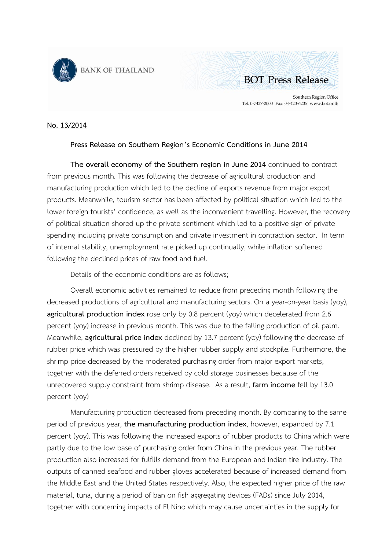



Southern Region Office Tel. 0-7427-2000 Fax. 0-7423-6205 www.bot.or.th

## **No. 13/2014**

## **Press Release on Southern Region's Economic Conditions in June 2014**

**The overall economy of the Southern region in June 2014** continued to contract from previous month. This was following the decrease of agricultural production and manufacturing production which led to the decline of exports revenue from major export products. Meanwhile, tourism sector has been affected by political situation which led to the lower foreign tourists' confidence, as well as the inconvenient travelling. However, the recovery of political situation shored up the private sentiment which led to a positive sign of private spending including private consumption and private investment in contraction sector. In term of internal stability, unemployment rate picked up continually, while inflation softened following the declined prices of raw food and fuel.

Details of the economic conditions are as follows;

Overall economic activities remained to reduce from preceding month following the decreased productions of agricultural and manufacturing sectors. On a year-on-year basis (yoy), **agricultural production index** rose only by 0.8 percent (yoy) which decelerated from 2.6 percent (yoy) increase in previous month. This was due to the falling production of oil palm. Meanwhile, **agricultural price index** declined by 13.7 percent (yoy) following the decrease of rubber price which was pressured by the higher rubber supply and stockpile. Furthermore, the shrimp price decreased by the moderated purchasing order from major export markets, together with the deferred orders received by cold storage businesses because of the unrecovered supply constraint from shrimp disease. As a result, **farm income** fell by 13.0 percent (yoy)

Manufacturing production decreased from preceding month. By comparing to the same period of previous year, **the manufacturing production index**, however, expanded by 7.1 percent (yoy). This was following the increased exports of rubber products to China which were partly due to the low base of purchasing order from China in the previous year. The rubber production also increased for fulfills demand from the European and Indian tire industry. The outputs of canned seafood and rubber gloves accelerated because of increased demand from the Middle East and the United States respectively. Also, the expected higher price of the raw material, tuna, during a period of ban on fish aggregating devices (FADs) since July 2014, together with concerning impacts of El Nino which may cause uncertainties in the supply for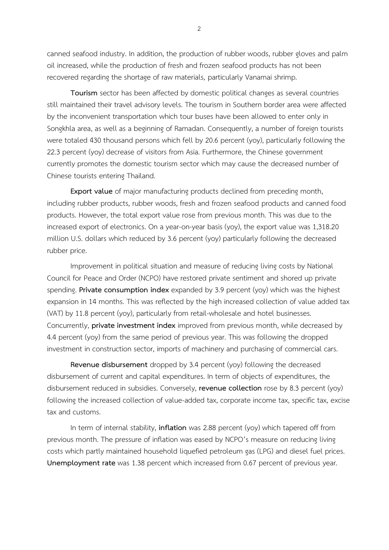canned seafood industry. In addition, the production of rubber woods, rubber gloves and palm oil increased, while the production of fresh and frozen seafood products has not been recovered regarding the shortage of raw materials, particularly Vanamai shrimp.

**Tourism** sector has been affected by domestic political changes as several countries still maintained their travel advisory levels. The tourism in Southern border area were affected by the inconvenient transportation which tour buses have been allowed to enter only in Songkhla area, as well as a beginning of Ramadan. Consequently, a number of foreign tourists were totaled 430 thousand persons which fell by 20.6 percent (yoy), particularly following the 22.3 percent (yoy) decrease of visitors from Asia. Furthermore, the Chinese government currently promotes the domestic tourism sector which may cause the decreased number of Chinese tourists entering Thailand.

**Export value** of major manufacturing products declined from preceding month, including rubber products, rubber woods, fresh and frozen seafood products and canned food products. However, the total export value rose from previous month. This was due to the increased export of electronics. On a year-on-year basis (yoy), the export value was 1,318.20 million U.S. dollars which reduced by 3.6 percent (yoy) particularly following the decreased rubber price.

Improvement in political situation and measure of reducing living costs by National Council for Peace and Order (NCPO) have restored private sentiment and shored up private spending. **Private consumption index** expanded by 3.9 percent (yoy) which was the highest expansion in 14 months. This was reflected by the high increased collection of value added tax (VAT) by 11.8 percent (yoy), particularly from retail-wholesale and hotel businesses. Concurrently, **private investment index** improved from previous month, while decreased by 4.4 percent (yoy) from the same period of previous year. This was following the dropped investment in construction sector, imports of machinery and purchasing of commercial cars.

**Revenue disbursement** dropped by 3.4 percent (yoy) following the decreased disbursement of current and capital expenditures. In term of objects of expenditures, the disbursement reduced in subsidies. Conversely, **revenue collection** rose by 8.3 percent (yoy) following the increased collection of value-added tax, corporate income tax, specific tax, excise tax and customs.

In term of internal stability, **inflation** was 2.88 percent (yoy) which tapered off from previous month. The pressure of inflation was eased by NCPO's measure on reducing living costs which partly maintained household liquefied petroleum gas (LPG) and diesel fuel prices. **Unemployment rate** was 1.38 percent which increased from 0.67 percent of previous year.

 $\overline{2}$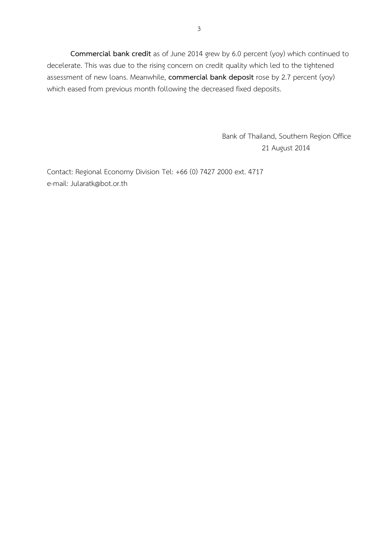**Commercial bank credit** as of June 2014 grew by 6.0 percent (yoy) which continued to decelerate. This was due to the rising concern on credit quality which led to the tightened assessment of new loans. Meanwhile, **commercial bank deposit** rose by 2.7 percent (yoy) which eased from previous month following the decreased fixed deposits.

> Bank of Thailand, Southern Region Office 21 August 2014

Contact: Regional Economy Division Tel: +66 (0) 7427 2000 ext. 4717 e-mail: Jularatk@bot.or.th